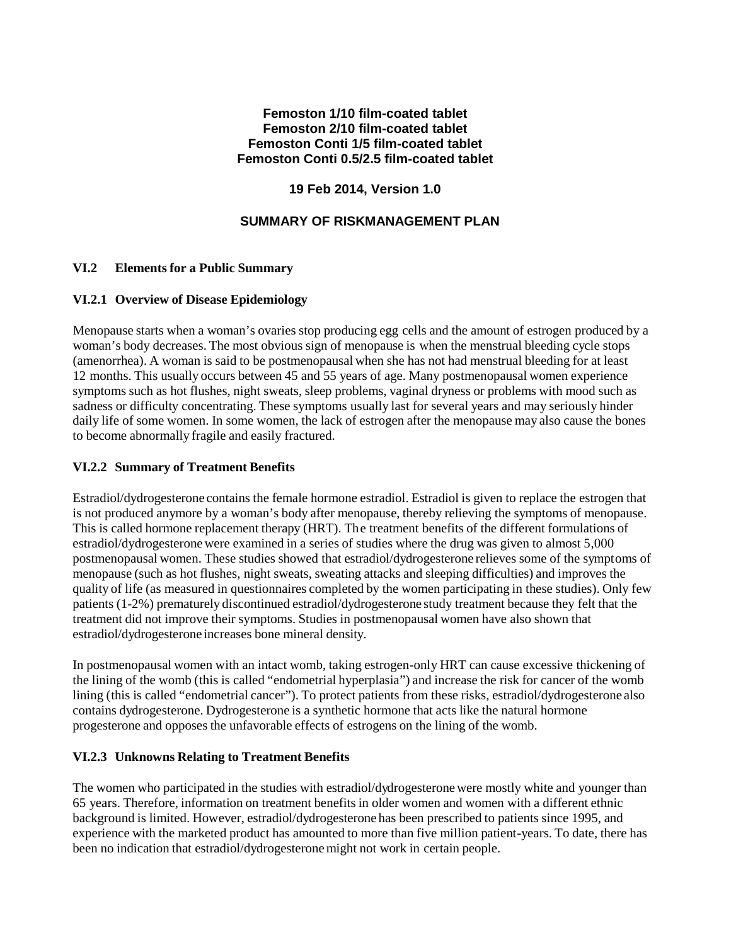## **Femoston 1/10 film-coated tablet Femoston 2/10 film-coated tablet Femoston Conti 1/5 film-coated tablet Femoston Conti 0.5/2.5 film-coated tablet**

# **19 Feb 2014, Version 1.0**

# **SUMMARY OF RISKMANAGEMENT PLAN**

## **VI.2 Elements for a Public Summary**

### **VI.2.1 Overview of Disease Epidemiology**

Menopause starts when a woman's ovaries stop producing egg cells and the amount of estrogen produced by a woman's body decreases. The most obvious sign of menopause is when the menstrual bleeding cycle stops (amenorrhea). A woman is said to be postmenopausal when she has not had menstrual bleeding for at least 12 months. This usually occurs between 45 and 55 years of age. Many postmenopausal women experience symptoms such as hot flushes, night sweats, sleep problems, vaginal dryness or problems with mood such as sadness or difficulty concentrating. These symptoms usually last for several years and may seriously hinder daily life of some women. In some women, the lack of estrogen after the menopause may also cause the bones to become abnormally fragile and easily fractured.

#### **VI.2.2 Summary of Treatment Benefits**

Estradiol/dydrogesterone contains the female hormone estradiol. Estradiol is given to replace the estrogen that is not produced anymore by a woman's body after menopause, thereby relieving the symptoms of menopause. This is called hormone replacement therapy (HRT). The treatment benefits of the different formulations of estradiol/dydrogesteronewere examined in a series of studies where the drug was given to almost 5,000 postmenopausal women. These studies showed that estradiol/dydrogesterone relieves some of the symptoms of menopause (such as hot flushes, night sweats, sweating attacks and sleeping difficulties) and improves the quality of life (as measured in questionnaires completed by the women participating in these studies). Only few patients (1-2%) prematurely discontinued estradiol/dydrogesterone study treatment because they felt that the treatment did not improve their symptoms. Studies in postmenopausal women have also shown that estradiol/dydrogesterone increases bone mineral density.

In postmenopausal women with an intact womb, taking estrogen-only HRT can cause excessive thickening of the lining of the womb (this is called "endometrial hyperplasia") and increase the risk for cancer of the womb lining (this is called "endometrial cancer"). To protect patients from these risks, estradiol/dydrogesterone also contains dydrogesterone. Dydrogesterone is a synthetic hormone that acts like the natural hormone progesterone and opposes the unfavorable effects of estrogens on the lining of the womb.

## **VI.2.3 Unknowns Relating to Treatment Benefits**

The women who participated in the studies with estradiol/dydrogesteronewere mostly white and younger than 65 years. Therefore, information on treatment benefits in older women and women with a different ethnic background is limited. However, estradiol/dydrogesterone has been prescribed to patients since 1995, and experience with the marketed product has amounted to more than five million patient-years. To date, there has been no indication that estradiol/dydrogesterone might not work in certain people.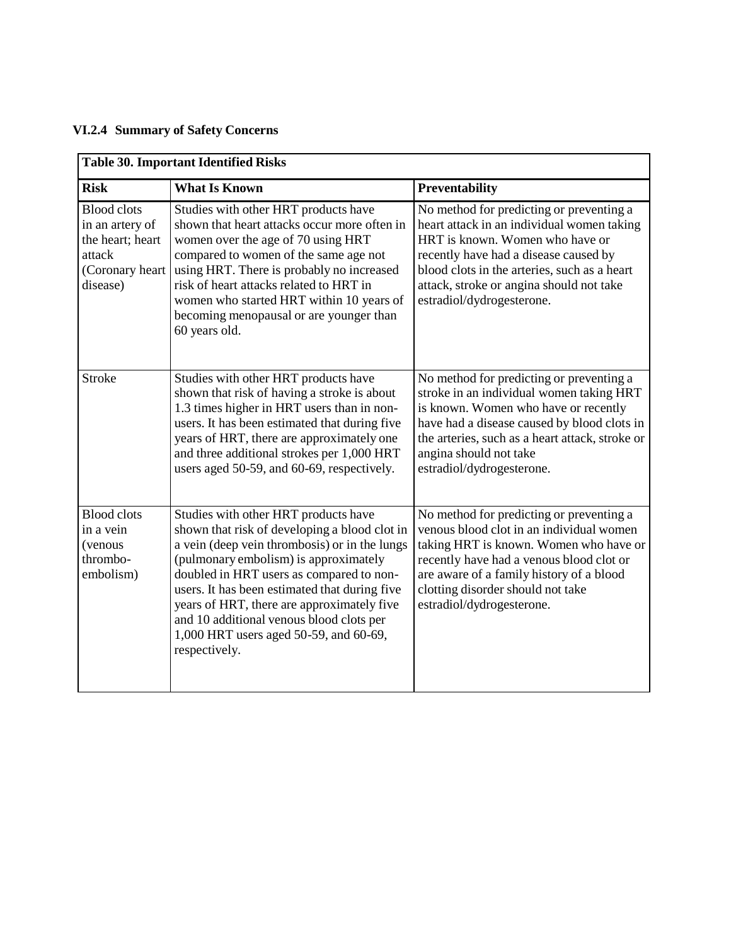# **VI.2.4 Summary of Safety Concerns**

| <b>Table 30. Important Identified Risks</b>                                                        |                                                                                                                                                                                                                                                                                                                                                                                                                                   |                                                                                                                                                                                                                                                                                             |  |
|----------------------------------------------------------------------------------------------------|-----------------------------------------------------------------------------------------------------------------------------------------------------------------------------------------------------------------------------------------------------------------------------------------------------------------------------------------------------------------------------------------------------------------------------------|---------------------------------------------------------------------------------------------------------------------------------------------------------------------------------------------------------------------------------------------------------------------------------------------|--|
| <b>Risk</b>                                                                                        | What Is Known                                                                                                                                                                                                                                                                                                                                                                                                                     | Preventability                                                                                                                                                                                                                                                                              |  |
| <b>Blood</b> clots<br>in an artery of<br>the heart; heart<br>attack<br>(Coronary heart<br>disease) | Studies with other HRT products have<br>shown that heart attacks occur more often in<br>women over the age of 70 using HRT<br>compared to women of the same age not<br>using HRT. There is probably no increased<br>risk of heart attacks related to HRT in<br>women who started HRT within 10 years of<br>becoming menopausal or are younger than<br>60 years old.                                                               | No method for predicting or preventing a<br>heart attack in an individual women taking<br>HRT is known. Women who have or<br>recently have had a disease caused by<br>blood clots in the arteries, such as a heart<br>attack, stroke or angina should not take<br>estradiol/dydrogesterone. |  |
| <b>Stroke</b>                                                                                      | Studies with other HRT products have<br>shown that risk of having a stroke is about<br>1.3 times higher in HRT users than in non-<br>users. It has been estimated that during five<br>years of HRT, there are approximately one<br>and three additional strokes per 1,000 HRT<br>users aged 50-59, and 60-69, respectively.                                                                                                       | No method for predicting or preventing a<br>stroke in an individual women taking HRT<br>is known. Women who have or recently<br>have had a disease caused by blood clots in<br>the arteries, such as a heart attack, stroke or<br>angina should not take<br>estradiol/dydrogesterone.       |  |
| <b>Blood</b> clots<br>in a vein<br>(venous<br>thrombo-<br>embolism)                                | Studies with other HRT products have<br>shown that risk of developing a blood clot in<br>a vein (deep vein thrombosis) or in the lungs<br>(pulmonary embolism) is approximately<br>doubled in HRT users as compared to non-<br>users. It has been estimated that during five<br>years of HRT, there are approximately five<br>and 10 additional venous blood clots per<br>1,000 HRT users aged 50-59, and 60-69,<br>respectively. | No method for predicting or preventing a<br>venous blood clot in an individual women<br>taking HRT is known. Women who have or<br>recently have had a venous blood clot or<br>are aware of a family history of a blood<br>clotting disorder should not take<br>estradiol/dydrogesterone.    |  |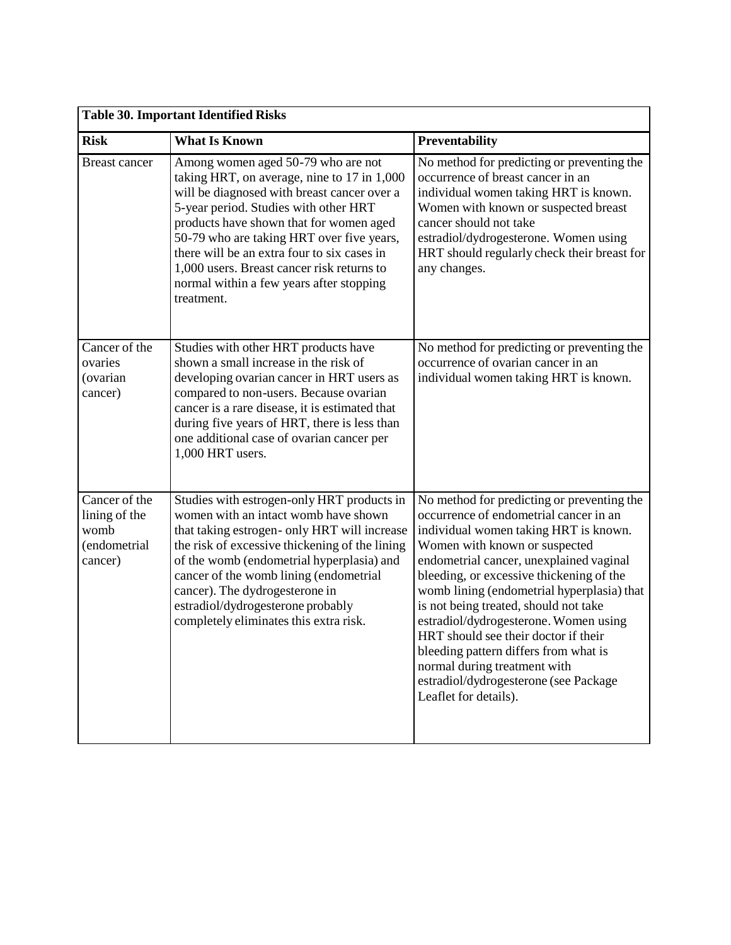| <b>Table 30. Important Identified Risks</b>                       |                                                                                                                                                                                                                                                                                                                                                                                                                          |                                                                                                                                                                                                                                                                                                                                                                                                                                                                                                                                                                          |  |
|-------------------------------------------------------------------|--------------------------------------------------------------------------------------------------------------------------------------------------------------------------------------------------------------------------------------------------------------------------------------------------------------------------------------------------------------------------------------------------------------------------|--------------------------------------------------------------------------------------------------------------------------------------------------------------------------------------------------------------------------------------------------------------------------------------------------------------------------------------------------------------------------------------------------------------------------------------------------------------------------------------------------------------------------------------------------------------------------|--|
| <b>Risk</b>                                                       | <b>What Is Known</b>                                                                                                                                                                                                                                                                                                                                                                                                     | <b>Preventability</b>                                                                                                                                                                                                                                                                                                                                                                                                                                                                                                                                                    |  |
| <b>Breast cancer</b>                                              | Among women aged 50-79 who are not<br>taking HRT, on average, nine to 17 in 1,000<br>will be diagnosed with breast cancer over a<br>5-year period. Studies with other HRT<br>products have shown that for women aged<br>50-79 who are taking HRT over five years,<br>there will be an extra four to six cases in<br>1,000 users. Breast cancer risk returns to<br>normal within a few years after stopping<br>treatment. | No method for predicting or preventing the<br>occurrence of breast cancer in an<br>individual women taking HRT is known.<br>Women with known or suspected breast<br>cancer should not take<br>estradiol/dydrogesterone. Women using<br>HRT should regularly check their breast for<br>any changes.                                                                                                                                                                                                                                                                       |  |
| Cancer of the<br>ovaries<br>(ovarian<br>cancer)                   | Studies with other HRT products have<br>shown a small increase in the risk of<br>developing ovarian cancer in HRT users as<br>compared to non-users. Because ovarian<br>cancer is a rare disease, it is estimated that<br>during five years of HRT, there is less than<br>one additional case of ovarian cancer per<br>1,000 HRT users.                                                                                  | No method for predicting or preventing the<br>occurrence of ovarian cancer in an<br>individual women taking HRT is known.                                                                                                                                                                                                                                                                                                                                                                                                                                                |  |
| Cancer of the<br>lining of the<br>womb<br>(endometrial<br>cancer) | Studies with estrogen-only HRT products in<br>women with an intact womb have shown<br>that taking estrogen- only HRT will increase<br>the risk of excessive thickening of the lining<br>of the womb (endometrial hyperplasia) and<br>cancer of the womb lining (endometrial<br>cancer). The dydrogesterone in<br>estradiol/dydrogesterone probably<br>completely eliminates this extra risk.                             | No method for predicting or preventing the<br>occurrence of endometrial cancer in an<br>individual women taking HRT is known.<br>Women with known or suspected<br>endometrial cancer, unexplained vaginal<br>bleeding, or excessive thickening of the<br>womb lining (endometrial hyperplasia) that<br>is not being treated, should not take<br>estradiol/dydrogesterone. Women using<br>HRT should see their doctor if their<br>bleeding pattern differs from what is<br>normal during treatment with<br>estradiol/dydrogesterone (see Package<br>Leaflet for details). |  |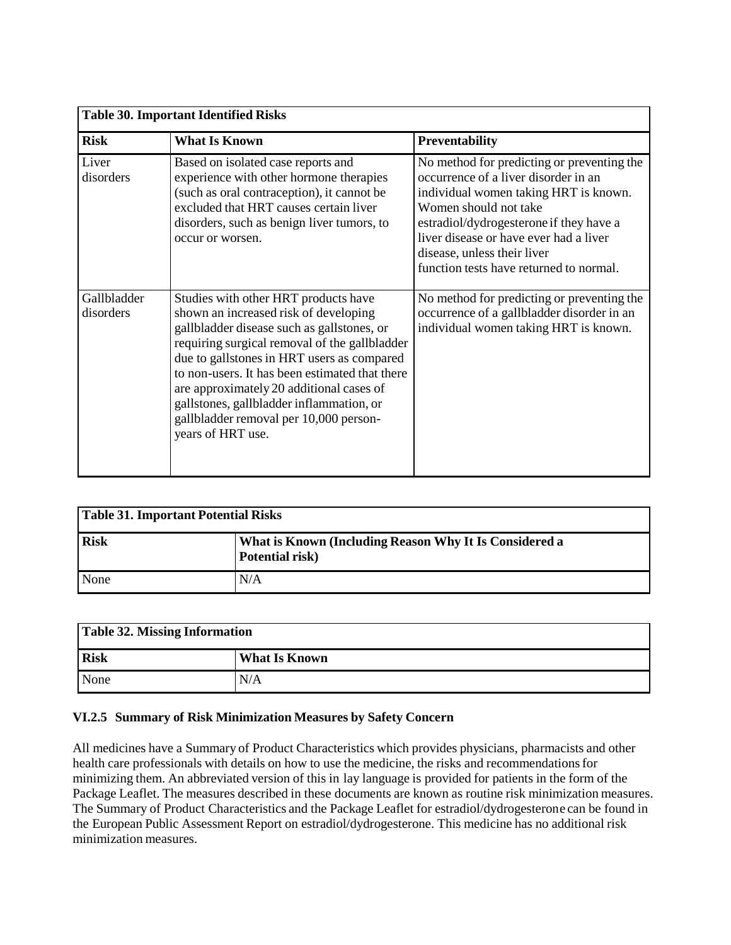| <b>Table 30. Important Identified Risks</b> |                                                                                                                                                                                                                                                                                                                                                                                                                                     |                                                                                                                                                                                                                                                                                                                     |  |  |
|---------------------------------------------|-------------------------------------------------------------------------------------------------------------------------------------------------------------------------------------------------------------------------------------------------------------------------------------------------------------------------------------------------------------------------------------------------------------------------------------|---------------------------------------------------------------------------------------------------------------------------------------------------------------------------------------------------------------------------------------------------------------------------------------------------------------------|--|--|
| <b>Risk</b>                                 | <b>What Is Known</b>                                                                                                                                                                                                                                                                                                                                                                                                                | Preventability                                                                                                                                                                                                                                                                                                      |  |  |
| Liver<br>disorders                          | Based on isolated case reports and<br>experience with other hormone therapies<br>(such as oral contraception), it cannot be<br>excluded that HRT causes certain liver<br>disorders, such as benign liver tumors, to<br>occur or worsen.                                                                                                                                                                                             | No method for predicting or preventing the<br>occurrence of a liver disorder in an<br>individual women taking HRT is known.<br>Women should not take<br>estradiol/dydrogesterone if they have a<br>liver disease or have ever had a liver<br>disease, unless their liver<br>function tests have returned to normal. |  |  |
| Gallbladder<br>disorders                    | Studies with other HRT products have<br>shown an increased risk of developing<br>gallbladder disease such as gallstones, or<br>requiring surgical removal of the gallbladder<br>due to gallstones in HRT users as compared<br>to non-users. It has been estimated that there<br>are approximately 20 additional cases of<br>gallstones, gallbladder inflammation, or<br>gallbladder removal per 10,000 person-<br>years of HRT use. | No method for predicting or preventing the<br>occurrence of a gallbladder disorder in an<br>individual women taking HRT is known.                                                                                                                                                                                   |  |  |

| Table 31. Important Potential Risks |                                                                           |  |
|-------------------------------------|---------------------------------------------------------------------------|--|
| <b>Risk</b>                         | What is Known (Including Reason Why It Is Considered a<br>Potential risk) |  |
| None                                | N/A                                                                       |  |

| <b>Table 32. Missing Information</b> |               |  |
|--------------------------------------|---------------|--|
| <b>Risk</b>                          | What Is Known |  |
| None                                 | N/A           |  |

### **VI.2.5 Summary of Risk Minimization Measures by Safety Concern**

All medicines have a Summary of Product Characteristics which provides physicians, pharmacists and other health care professionals with details on how to use the medicine, the risks and recommendations for minimizing them. An abbreviated version of this in lay language is provided for patients in the form of the Package Leaflet. The measures described in these documents are known as routine risk minimization measures. The Summary of Product Characteristics and the Package Leaflet for estradiol/dydrogesterone can be found in the European Public Assessment Report on estradiol/dydrogesterone. This medicine has no additional risk minimization measures.